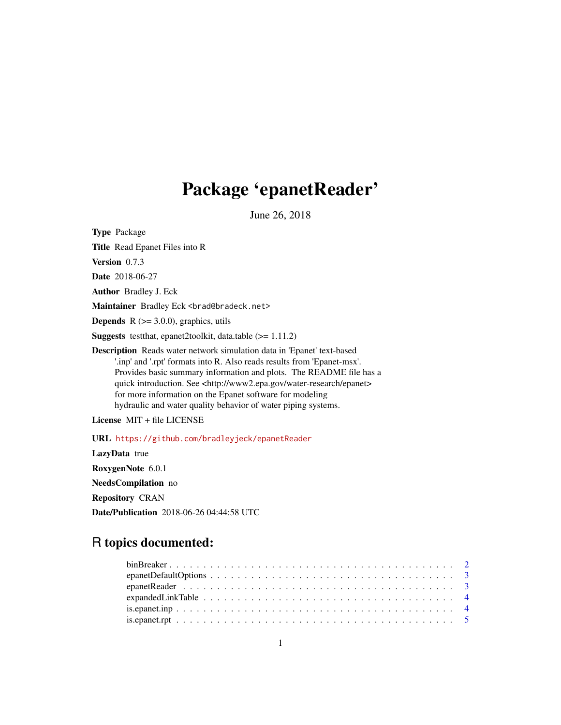# Package 'epanetReader'

June 26, 2018

Type Package Title Read Epanet Files into R Version 0.7.3 Date 2018-06-27 Author Bradley J. Eck Maintainer Bradley Eck <br ad@bradeck.net> **Depends**  $R$  ( $>= 3.0.0$ ), graphics, utils Suggests testthat, epanet2toolkit, data.table (>= 1.11.2) Description Reads water network simulation data in 'Epanet' text-based '.inp' and '.rpt' formats into R. Also reads results from 'Epanet-msx'. Provides basic summary information and plots. The README file has a quick introduction. See <http://www2.epa.gov/water-research/epanet> for more information on the Epanet software for modeling hydraulic and water quality behavior of water piping systems. License MIT + file LICENSE

URL <https://github.com/bradleyjeck/epanetReader>

LazyData true RoxygenNote 6.0.1 NeedsCompilation no Repository CRAN Date/Publication 2018-06-26 04:44:58 UTC

# R topics documented: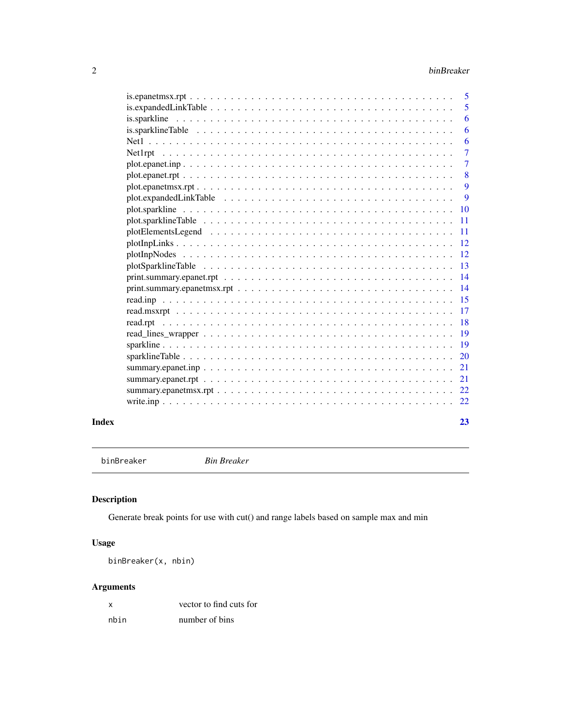<span id="page-1-0"></span>

| $plotInpNodes \ldots \ldots \ldots \ldots \ldots \ldots \ldots \ldots \ldots \ldots \ldots \ldots \ldots 12$ |
|--------------------------------------------------------------------------------------------------------------|
|                                                                                                              |
|                                                                                                              |
| -11                                                                                                          |
|                                                                                                              |
| 9                                                                                                            |
| 9                                                                                                            |
| $\boldsymbol{8}$                                                                                             |
| $\overline{7}$                                                                                               |
| $\overline{7}$                                                                                               |
| 6                                                                                                            |
| 6                                                                                                            |
| 6                                                                                                            |
| - 5                                                                                                          |
|                                                                                                              |
|                                                                                                              |

binBreaker *Bin Breaker*

# Description

Generate break points for use with cut() and range labels based on sample max and min

# Usage

binBreaker(x, nbin)

# Arguments

| X    | vector to find cuts for |
|------|-------------------------|
| nbin | number of bins          |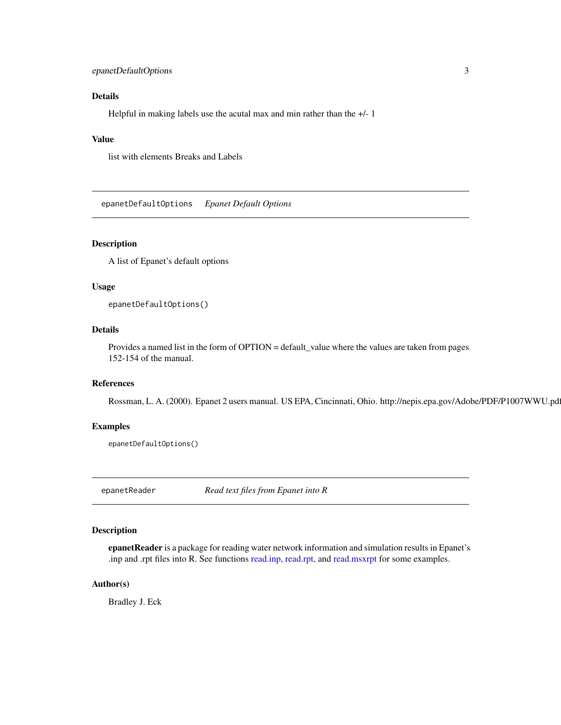# <span id="page-2-0"></span>epanetDefaultOptions 3

# Details

Helpful in making labels use the acutal max and min rather than the +/- 1

# Value

list with elements Breaks and Labels

epanetDefaultOptions *Epanet Default Options*

#### Description

A list of Epanet's default options

### Usage

epanetDefaultOptions()

# Details

Provides a named list in the form of OPTION = default\_value where the values are taken from pages 152-154 of the manual.

# References

Rossman, L. A. (2000). Epanet 2 users manual. US EPA, Cincinnati, Ohio. http://nepis.epa.gov/Adobe/PDF/P1007WWU.pd

#### Examples

epanetDefaultOptions()

epanetReader *Read text files from Epanet into R*

# Description

epanetReader is a package for reading water network information and simulation results in Epanet's .inp and .rpt files into R. See functions [read.inp,](#page-14-1) [read.rpt,](#page-17-1) and [read.msxrpt](#page-16-1) for some examples.

#### Author(s)

Bradley J. Eck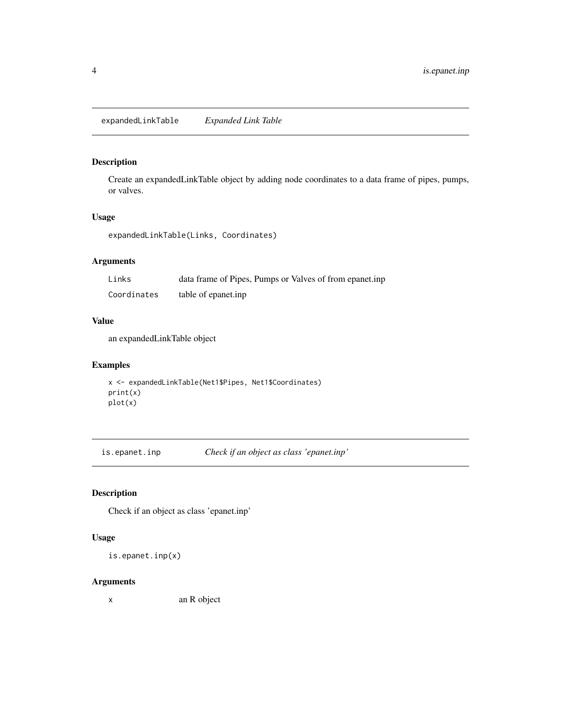<span id="page-3-0"></span>expandedLinkTable *Expanded Link Table*

# Description

Create an expandedLinkTable object by adding node coordinates to a data frame of pipes, pumps, or valves.

# Usage

expandedLinkTable(Links, Coordinates)

# Arguments

| Links       | data frame of Pipes, Pumps or Valves of from epanet.inp |
|-------------|---------------------------------------------------------|
| Coordinates | table of epanet.inp                                     |

#### Value

an expandedLinkTable object

# Examples

```
x <- expandedLinkTable(Net1$Pipes, Net1$Coordinates)
print(x)
plot(x)
```
is.epanet.inp *Check if an object as class 'epanet.inp'*

# Description

Check if an object as class 'epanet.inp'

# Usage

is.epanet.inp(x)

#### Arguments

x an R object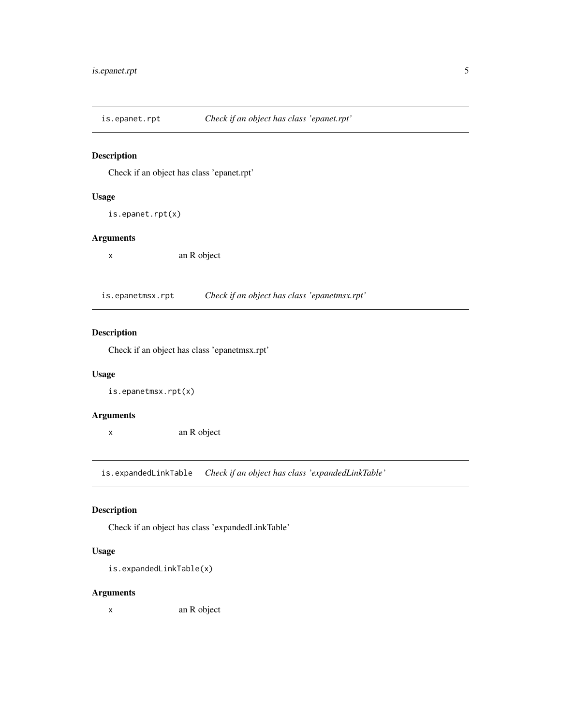<span id="page-4-0"></span>is.epanet.rpt *Check if an object has class 'epanet.rpt'*

# Description

Check if an object has class 'epanet.rpt'

# Usage

is.epanet.rpt(x)

#### Arguments

x an R object

is.epanetmsx.rpt *Check if an object has class 'epanetmsx.rpt'*

# Description

Check if an object has class 'epanetmsx.rpt'

# Usage

is.epanetmsx.rpt(x)

# Arguments

x an R object

is.expandedLinkTable *Check if an object has class 'expandedLinkTable'*

# Description

Check if an object has class 'expandedLinkTable'

# Usage

is.expandedLinkTable(x)

# Arguments

x an R object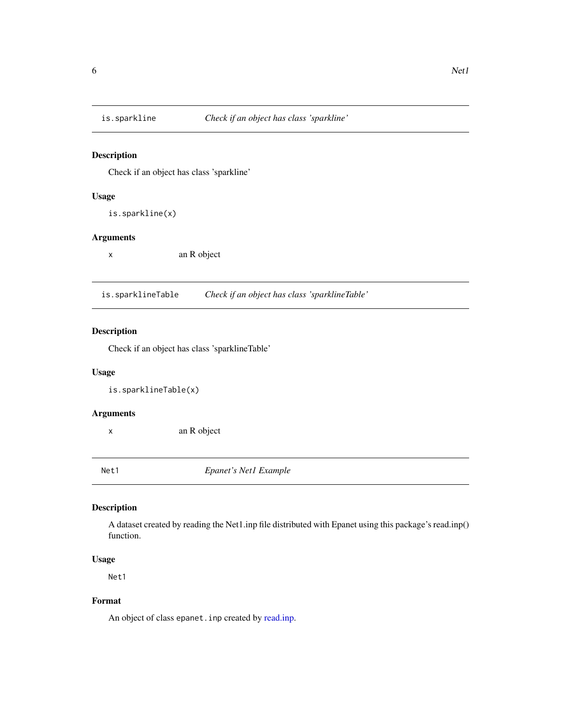<span id="page-5-0"></span>

#### Description

Check if an object has class 'sparkline'

# Usage

is.sparkline(x)

### Arguments

x an R object

is.sparklineTable *Check if an object has class 'sparklineTable'*

# Description

Check if an object has class 'sparklineTable'

# Usage

is.sparklineTable(x)

#### Arguments

x an R object

Net1 *Epanet's Net1 Example*

# Description

A dataset created by reading the Net1.inp file distributed with Epanet using this package's read.inp() function.

# Usage

Net1

# Format

An object of class epanet.inp created by [read.inp.](#page-14-1)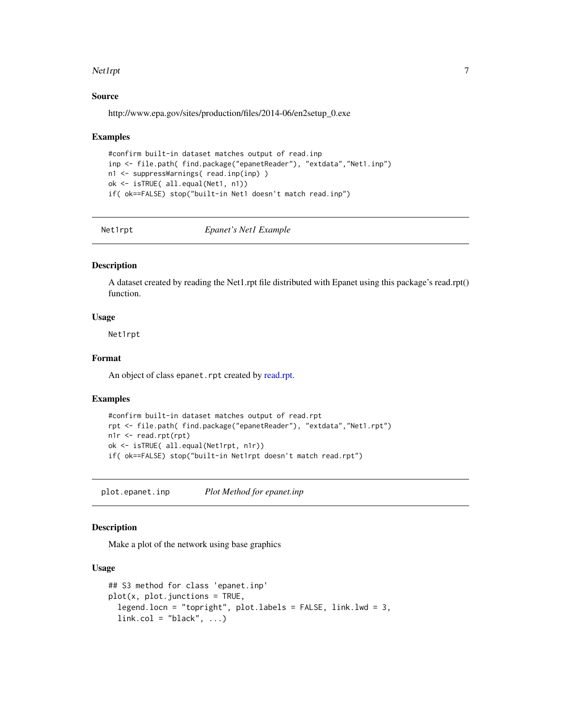#### <span id="page-6-0"></span>Net1rpt 7

#### Source

http://www.epa.gov/sites/production/files/2014-06/en2setup\_0.exe

#### Examples

```
#confirm built-in dataset matches output of read.inp
inp <- file.path( find.package("epanetReader"), "extdata","Net1.inp")
n1 <- suppressWarnings( read.inp(inp) )
ok <- isTRUE( all.equal(Net1, n1))
if( ok==FALSE) stop("built-in Net1 doesn't match read.inp")
```
Net1rpt *Epanet's Net1 Example*

### **Description**

A dataset created by reading the Net1.rpt file distributed with Epanet using this package's read.rpt() function.

# Usage

Net1rpt

# Format

An object of class epanet.rpt created by [read.rpt.](#page-17-1)

#### Examples

```
#confirm built-in dataset matches output of read.rpt
rpt <- file.path( find.package("epanetReader"), "extdata","Net1.rpt")
n1r <- read.rpt(rpt)
ok <- isTRUE( all.equal(Net1rpt, n1r))
if( ok==FALSE) stop("built-in Net1rpt doesn't match read.rpt")
```
plot.epanet.inp *Plot Method for epanet.inp*

#### Description

Make a plot of the network using base graphics

#### Usage

```
## S3 method for class 'epanet.inp'
plot(x, plot.junctions = TRUE,legend.locn = "topright", plot.labels = FALSE, link.lwd = 3,
  link,col = "black", ...)
```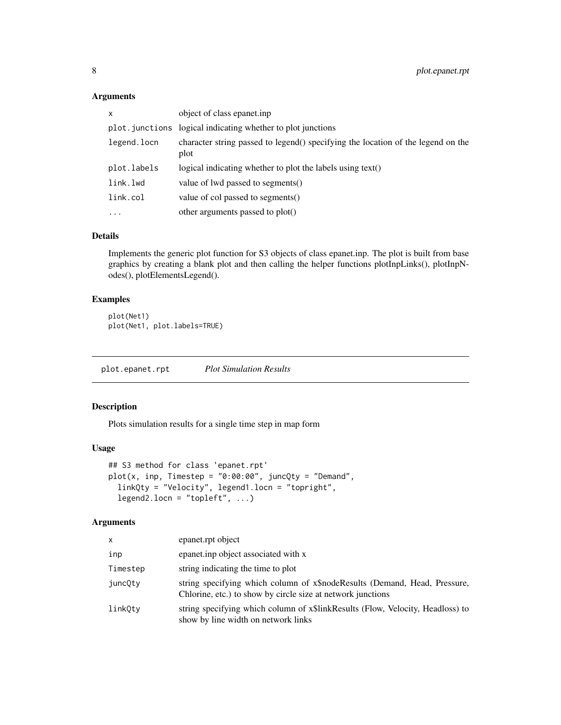# Arguments

| object of class epanet.inp.                                                              |
|------------------------------------------------------------------------------------------|
| plot. junctions logical indicating whether to plot junctions                             |
| character string passed to legend() specifying the location of the legend on the<br>plot |
| logical indicating whether to plot the labels using text()                               |
| value of lwd passed to segments()                                                        |
| value of col passed to segments()                                                        |
| other arguments passed to plot()                                                         |
|                                                                                          |

# Details

Implements the generic plot function for S3 objects of class epanet.inp. The plot is built from base graphics by creating a blank plot and then calling the helper functions plotInpLinks(), plotInpNodes(), plotElementsLegend().

### Examples

```
plot(Net1)
plot(Net1, plot.labels=TRUE)
```
plot.epanet.rpt *Plot Simulation Results*

# Description

Plots simulation results for a single time step in map form

# Usage

```
## S3 method for class 'epanet.rpt'
plot(x, inp, Timestep = "0:00:00", juncQty = "Demand",linkQty = "Velocity", legend1.locn = "topright",
  legend2.locn = "topleft", ...)
```
# Arguments

| x        | epanet.rpt object                                                                                                                        |
|----------|------------------------------------------------------------------------------------------------------------------------------------------|
| inp      | epanet.inp object associated with x                                                                                                      |
| Timestep | string indicating the time to plot                                                                                                       |
| juncQty  | string specifying which column of x\$nodeResults (Demand, Head, Pressure,<br>Chlorine, etc.) to show by circle size at network junctions |
| linkOty  | string specifying which column of x\$linkResults (Flow, Velocity, Headloss) to<br>show by line width on network links                    |

<span id="page-7-0"></span>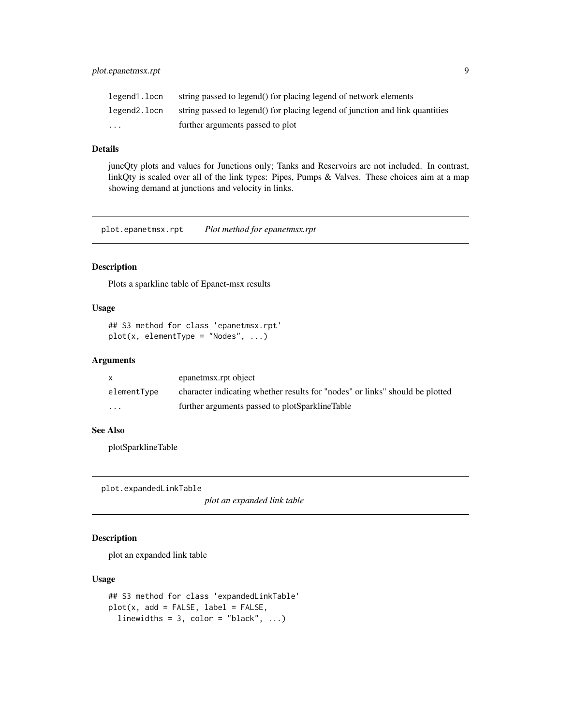<span id="page-8-0"></span>

| legend1.locn | string passed to legend() for placing legend of network elements             |
|--------------|------------------------------------------------------------------------------|
| legend2.locn | string passed to legend() for placing legend of junction and link quantities |
| $\cdots$     | further arguments passed to plot                                             |

### Details

juncQty plots and values for Junctions only; Tanks and Reservoirs are not included. In contrast, linkQty is scaled over all of the link types: Pipes, Pumps & Valves. These choices aim at a map showing demand at junctions and velocity in links.

plot.epanetmsx.rpt *Plot method for epanetmsx.rpt*

# Description

Plots a sparkline table of Epanet-msx results

# Usage

```
## S3 method for class 'epanetmsx.rpt'
plot(x, elementType = "Nodes", ...)
```
#### Arguments

|             | epanetmsx.rpt object                                                         |
|-------------|------------------------------------------------------------------------------|
| elementType | character indicating whether results for "nodes" or links" should be plotted |
| $\cdot$     | further arguments passed to plotSparklineTable                               |

#### See Also

plotSparklineTable

plot.expandedLinkTable

*plot an expanded link table*

# Description

plot an expanded link table

# Usage

```
## S3 method for class 'expandedLinkTable'
plot(x, add = FALSE, label = FALSE,linewidths = 3, color = "black", \ldots)
```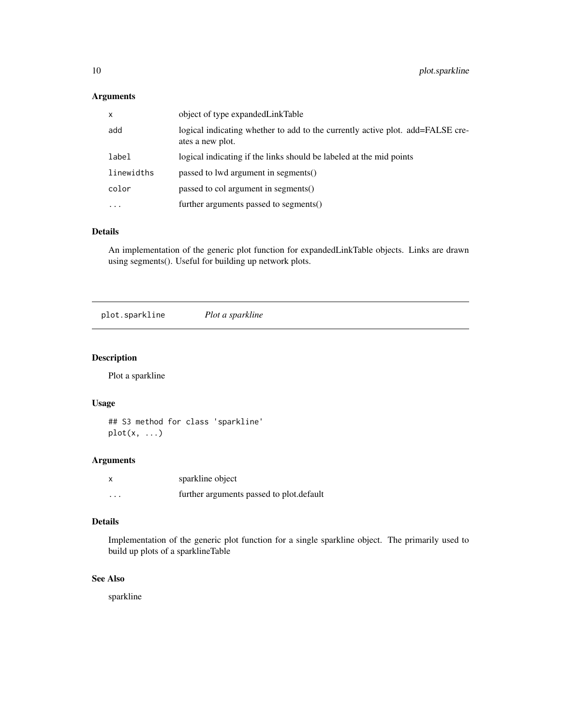# <span id="page-9-0"></span>Arguments

| $\mathsf{x}$ | object of type expanded Link Table                                                                 |
|--------------|----------------------------------------------------------------------------------------------------|
| add          | logical indicating whether to add to the currently active plot. add=FALSE cre-<br>ates a new plot. |
| label        | logical indicating if the links should be labeled at the mid points                                |
| linewidths   | passed to lwd argument in segments()                                                               |
| color        | passed to col argument in segments()                                                               |
| $\ddotsc$    | further arguments passed to segments()                                                             |

#### Details

An implementation of the generic plot function for expandedLinkTable objects. Links are drawn using segments(). Useful for building up network plots.

plot.sparkline *Plot a sparkline*

# Description

Plot a sparkline

# Usage

## S3 method for class 'sparkline'  $plot(x, \ldots)$ 

# Arguments

| x                       | sparkline object                         |
|-------------------------|------------------------------------------|
| $\cdot$ $\cdot$ $\cdot$ | further arguments passed to plot.default |

# Details

Implementation of the generic plot function for a single sparkline object. The primarily used to build up plots of a sparklineTable

# See Also

sparkline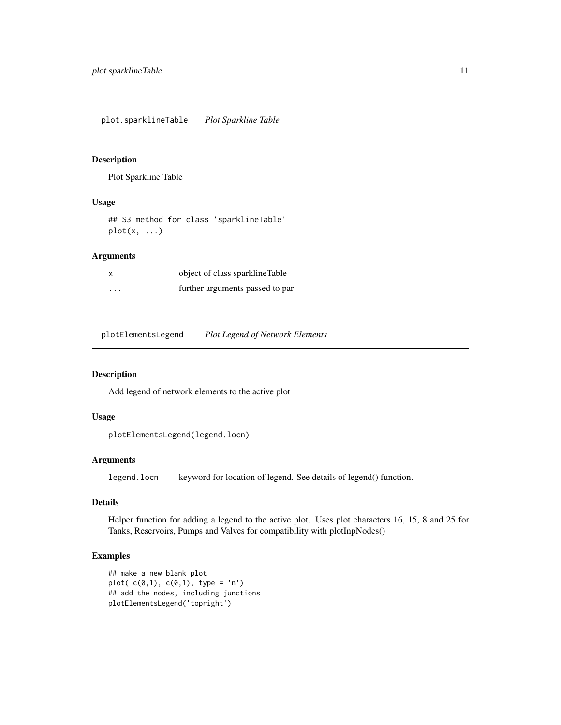<span id="page-10-0"></span>plot.sparklineTable *Plot Sparkline Table*

#### Description

Plot Sparkline Table

# Usage

## S3 method for class 'sparklineTable'  $plot(x, \ldots)$ 

# Arguments

| x       | object of class sparkline Table |
|---------|---------------------------------|
| $\cdot$ | further arguments passed to par |

plotElementsLegend *Plot Legend of Network Elements*

#### Description

Add legend of network elements to the active plot

#### Usage

```
plotElementsLegend(legend.locn)
```
# Arguments

legend.locn keyword for location of legend. See details of legend() function.

#### Details

Helper function for adding a legend to the active plot. Uses plot characters 16, 15, 8 and 25 for Tanks, Reservoirs, Pumps and Valves for compatibility with plotInpNodes()

#### Examples

```
## make a new blank plot
plot(c(0,1), c(0,1), type = 'n')
## add the nodes, including junctions
plotElementsLegend('topright')
```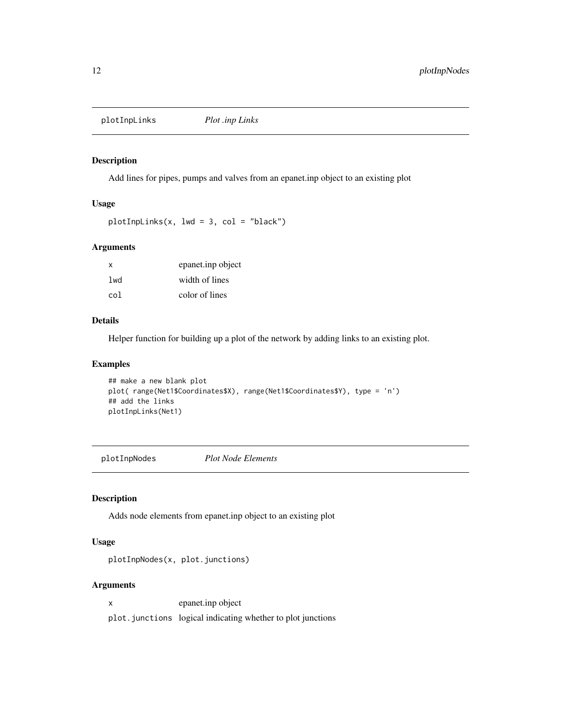<span id="page-11-0"></span>plotInpLinks *Plot .inp Links*

# Description

Add lines for pipes, pumps and valves from an epanet.inp object to an existing plot

# Usage

 $plotInplinks(x, lwd = 3, col = "black")$ 

#### Arguments

| X               | epanet.inp object |
|-----------------|-------------------|
| 1 <sub>wd</sub> | width of lines    |
| co1             | color of lines    |

# Details

Helper function for building up a plot of the network by adding links to an existing plot.

#### Examples

```
## make a new blank plot
plot( range(Net1$Coordinates$X), range(Net1$Coordinates$Y), type = 'n')
## add the links
plotInpLinks(Net1)
```
plotInpNodes *Plot Node Elements*

# Description

Adds node elements from epanet.inp object to an existing plot

#### Usage

plotInpNodes(x, plot.junctions)

# Arguments

x epanet.inp object

plot.junctions logical indicating whether to plot junctions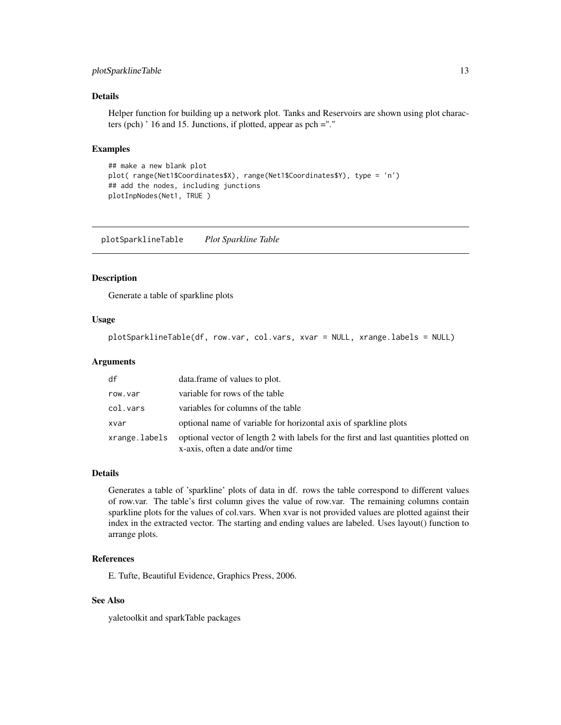# <span id="page-12-0"></span>plotSparklineTable 13

### Details

Helper function for building up a network plot. Tanks and Reservoirs are shown using plot characters (pch) ' 16 and 15. Junctions, if plotted, appear as pch ="."

#### Examples

```
## make a new blank plot
plot( range(Net1$Coordinates$X), range(Net1$Coordinates$Y), type = 'n')
## add the nodes, including junctions
plotInpNodes(Net1, TRUE )
```
plotSparklineTable *Plot Sparkline Table*

#### Description

Generate a table of sparkline plots

#### Usage

plotSparklineTable(df, row.var, col.vars, xvar = NULL, xrange.labels = NULL)

#### Arguments

| df            | data.frame of values to plot.                                                                                            |
|---------------|--------------------------------------------------------------------------------------------------------------------------|
| row.var       | variable for rows of the table                                                                                           |
| col.vars      | variables for columns of the table                                                                                       |
| xvar          | optional name of variable for horizontal axis of sparkline plots                                                         |
| xrange.labels | optional vector of length 2 with labels for the first and last quantities plotted on<br>x-axis, often a date and/or time |

#### Details

Generates a table of 'sparkline' plots of data in df. rows the table correspond to different values of row.var. The table's first column gives the value of row.var. The remaining columns contain sparkline plots for the values of col.vars. When xvar is not provided values are plotted against their index in the extracted vector. The starting and ending values are labeled. Uses layout() function to arrange plots.

# References

E. Tufte, Beautiful Evidence, Graphics Press, 2006.

# See Also

yaletoolkit and sparkTable packages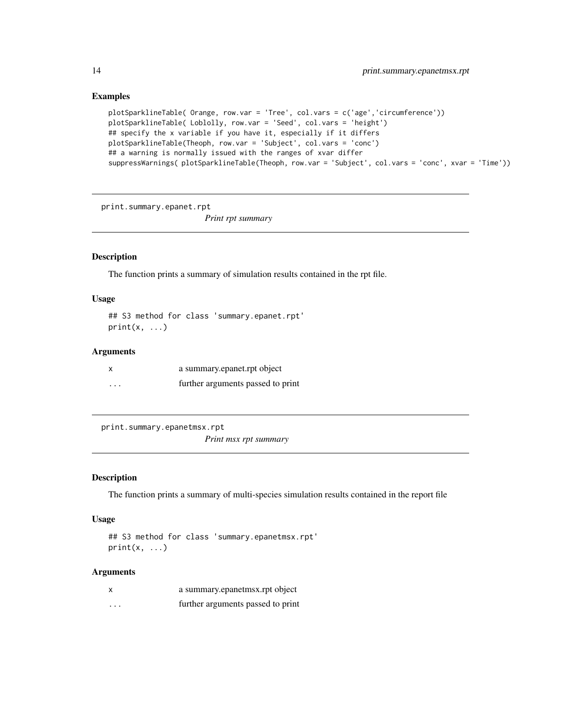#### Examples

```
plotSparklineTable( Orange, row.var = 'Tree', col.vars = c('age','circumference'))
plotSparklineTable( Loblolly, row.var = 'Seed', col.vars = 'height')
## specify the x variable if you have it, especially if it differs
plotSparklineTable(Theoph, row.var = 'Subject', col.vars = 'conc')
## a warning is normally issued with the ranges of xvar differ
suppressWarnings( plotSparklineTable(Theoph, row.var = 'Subject', col.vars = 'conc', xvar = 'Time'))
```
print.summary.epanet.rpt

*Print rpt summary*

# Description

The function prints a summary of simulation results contained in the rpt file.

# Usage

## S3 method for class 'summary.epanet.rpt'  $print(x, \ldots)$ 

# Arguments

|   | a summary epanet rpt object       |
|---|-----------------------------------|
| . | further arguments passed to print |

print.summary.epanetmsx.rpt

*Print msx rpt summary*

#### Description

The function prints a summary of multi-species simulation results contained in the report file

#### Usage

```
## S3 method for class 'summary.epanetmsx.rpt'
print(x, \ldots)
```
#### Arguments

| X                 | a summary.epanetmsx.rpt object    |
|-------------------|-----------------------------------|
| $\cdot\cdot\cdot$ | further arguments passed to print |

<span id="page-13-0"></span>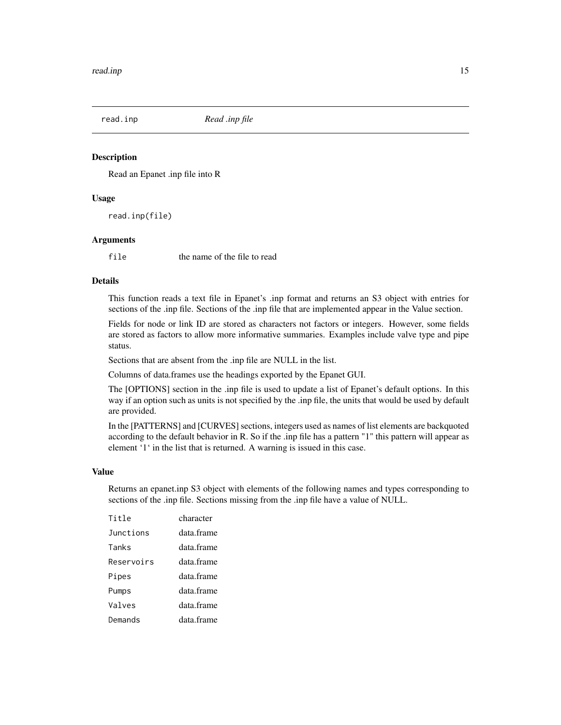<span id="page-14-1"></span><span id="page-14-0"></span>

#### **Description**

Read an Epanet .inp file into R

#### Usage

```
read.inp(file)
```
#### Arguments

file the name of the file to read

#### Details

This function reads a text file in Epanet's .inp format and returns an S3 object with entries for sections of the .inp file. Sections of the .inp file that are implemented appear in the Value section.

Fields for node or link ID are stored as characters not factors or integers. However, some fields are stored as factors to allow more informative summaries. Examples include valve type and pipe status.

Sections that are absent from the .inp file are NULL in the list.

Columns of data.frames use the headings exported by the Epanet GUI.

The [OPTIONS] section in the .inp file is used to update a list of Epanet's default options. In this way if an option such as units is not specified by the .inp file, the units that would be used by default are provided.

In the [PATTERNS] and [CURVES] sections, integers used as names of list elements are backquoted according to the default behavior in R. So if the .inp file has a pattern "1" this pattern will appear as element '1' in the list that is returned. A warning is issued in this case.

#### Value

Returns an epanet.inp S3 object with elements of the following names and types corresponding to sections of the .inp file. Sections missing from the .inp file have a value of NULL.

| Title      | character  |
|------------|------------|
| Junctions  | data frame |
| Tanks      | data frame |
| Reservoirs | data.frame |
| Pipes      | data frame |
| Pumps      | data frame |
| Valves     | data frame |
| Demands    | data.frame |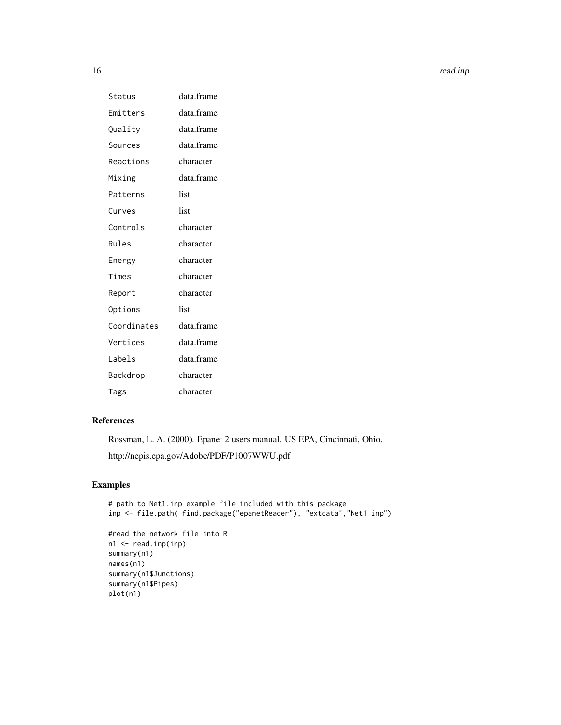16 read.inp

| Status      | data.frame |
|-------------|------------|
| Emitters    | data.frame |
| Quality     | data.frame |
| Sources     | data.frame |
| Reactions   | character  |
| Mixing      | data.frame |
| Patterns    | list       |
| Curves      | list       |
| Controls    | character  |
| Rules       | character  |
| Energy      | character  |
| Times       | character  |
| Report      | character  |
| Options     | list       |
| Coordinates | data.frame |
| Vertices    | data.frame |
| Labels      | data.frame |
| Backdrop    | character  |
| Tags        | character  |

# References

Rossman, L. A. (2000). Epanet 2 users manual. US EPA, Cincinnati, Ohio. http://nepis.epa.gov/Adobe/PDF/P1007WWU.pdf

# Examples

```
# path to Net1.inp example file included with this package
inp <- file.path( find.package("epanetReader"), "extdata","Net1.inp")
#read the network file into R
n1 <- read.inp(inp)
summary(n1)
names(n1)
summary(n1$Junctions)
summary(n1$Pipes)
plot(n1)
```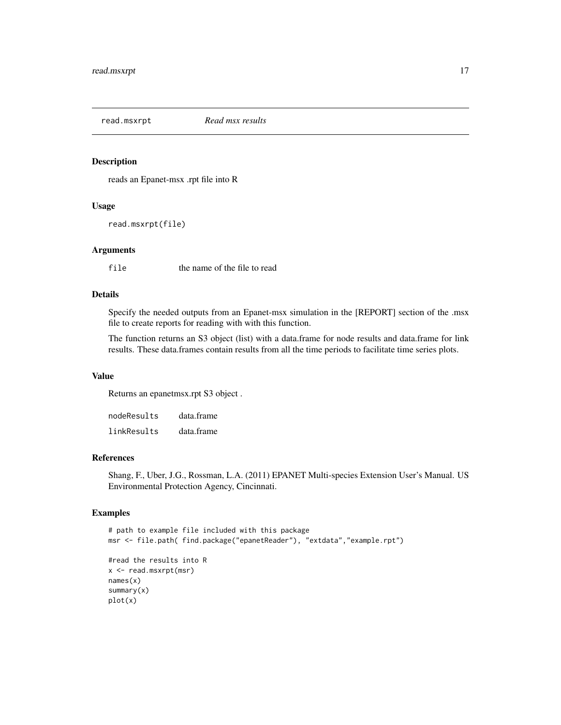<span id="page-16-1"></span><span id="page-16-0"></span>read.msxrpt *Read msx results*

# Description

reads an Epanet-msx .rpt file into R

# Usage

```
read.msxrpt(file)
```
#### Arguments

file the name of the file to read

# Details

Specify the needed outputs from an Epanet-msx simulation in the [REPORT] section of the .msx file to create reports for reading with with this function.

The function returns an S3 object (list) with a data.frame for node results and data.frame for link results. These data.frames contain results from all the time periods to facilitate time series plots.

#### Value

Returns an epanetmsx.rpt S3 object .

| nodeResults | data.frame |
|-------------|------------|
| linkResults | data.frame |

# References

Shang, F., Uber, J.G., Rossman, L.A. (2011) EPANET Multi-species Extension User's Manual. US Environmental Protection Agency, Cincinnati.

#### Examples

```
# path to example file included with this package
msr <- file.path( find.package("epanetReader"), "extdata","example.rpt")
#read the results into R
x <- read.msxrpt(msr)
names(x)
summary(x)
plot(x)
```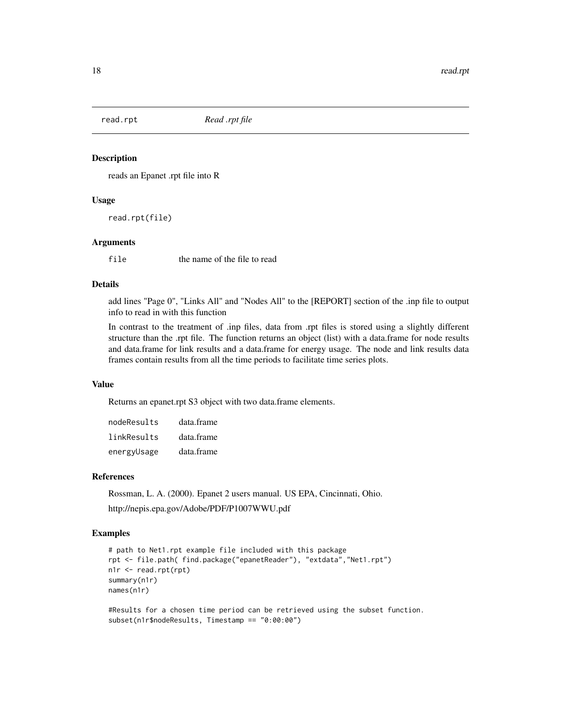<span id="page-17-1"></span><span id="page-17-0"></span>

#### Description

reads an Epanet .rpt file into R

#### Usage

read.rpt(file)

# Arguments

file the name of the file to read

#### Details

add lines "Page 0", "Links All" and "Nodes All" to the [REPORT] section of the .inp file to output info to read in with this function

In contrast to the treatment of .inp files, data from .rpt files is stored using a slightly different structure than the .rpt file. The function returns an object (list) with a data.frame for node results and data.frame for link results and a data.frame for energy usage. The node and link results data frames contain results from all the time periods to facilitate time series plots.

# Value

Returns an epanet.rpt S3 object with two data.frame elements.

| nodeResults | data.frame |
|-------------|------------|
| linkResults | data.frame |
| energyUsage | data.frame |

#### References

Rossman, L. A. (2000). Epanet 2 users manual. US EPA, Cincinnati, Ohio. http://nepis.epa.gov/Adobe/PDF/P1007WWU.pdf

#### Examples

```
# path to Net1.rpt example file included with this package
rpt <- file.path( find.package("epanetReader"), "extdata","Net1.rpt")
n1r <- read.rpt(rpt)
summary(n1r)
names(n1r)
```
#Results for a chosen time period can be retrieved using the subset function. subset(n1r\$nodeResults, Timestamp == "0:00:00")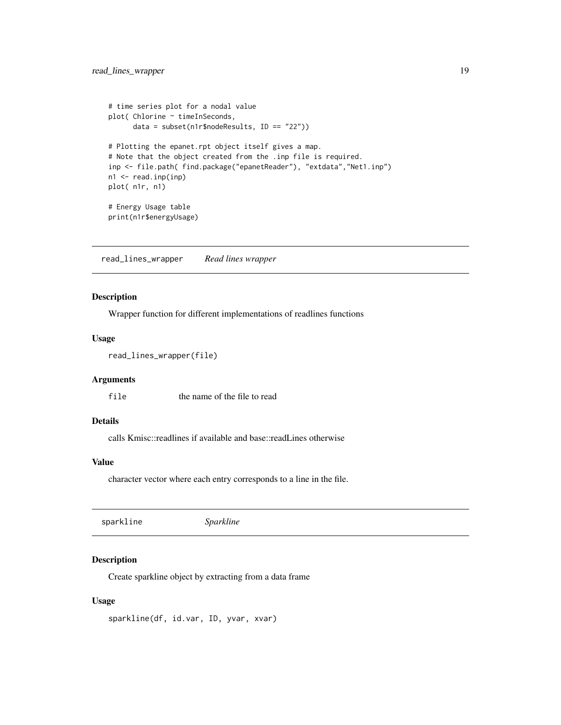```
# time series plot for a nodal value
plot( Chlorine ~ timeInSeconds,
      data = subset(n1r$nodeResults, ID == "22"))
# Plotting the epanet.rpt object itself gives a map.
# Note that the object created from the .inp file is required.
inp <- file.path( find.package("epanetReader"), "extdata","Net1.inp")
n1 <- read.inp(inp)
plot( n1r, n1)
# Energy Usage table
print(n1r$energyUsage)
```
read\_lines\_wrapper *Read lines wrapper*

# Description

Wrapper function for different implementations of readlines functions

#### Usage

```
read_lines_wrapper(file)
```
#### **Arguments**

file the name of the file to read

#### Details

calls Kmisc::readlines if available and base::readLines otherwise

#### Value

character vector where each entry corresponds to a line in the file.

sparkline *Sparkline*

#### Description

Create sparkline object by extracting from a data frame

#### Usage

sparkline(df, id.var, ID, yvar, xvar)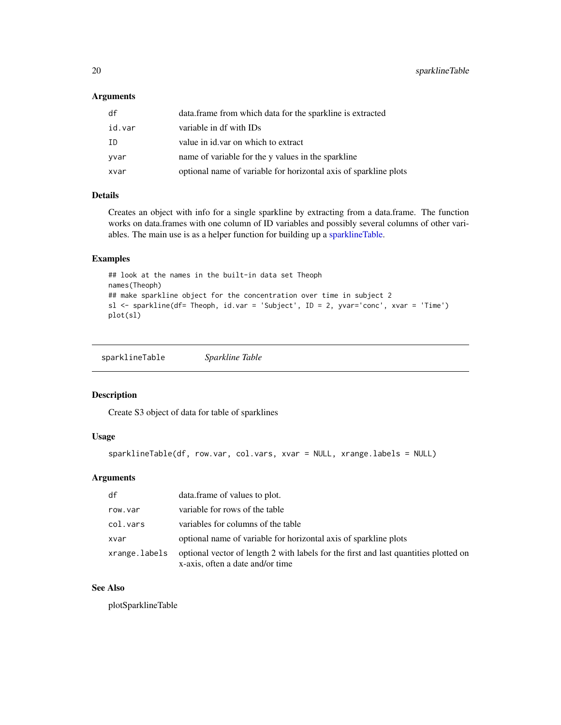<span id="page-19-0"></span>20 sparklineTable sparklineTable

# Arguments

| df     | data.frame from which data for the sparkline is extracted        |
|--------|------------------------------------------------------------------|
| id.var | variable in df with IDs                                          |
| ΙD     | value in id. var on which to extract                             |
| yvar   | name of variable for the y values in the sparkline               |
| xvar   | optional name of variable for horizontal axis of sparkline plots |

# Details

Creates an object with info for a single sparkline by extracting from a data.frame. The function works on data.frames with one column of ID variables and possibly several columns of other variables. The main use is as a helper function for building up a [sparklineTable.](#page-19-1)

#### Examples

```
## look at the names in the built-in data set Theoph
names(Theoph)
## make sparkline object for the concentration over time in subject 2
sl <- sparkline(df= Theoph, id.var = 'Subject', ID = 2, yvar='conc', xvar = 'Time')
plot(sl)
```

```
sparklineTable Sparkline Table
```
# Description

Create S3 object of data for table of sparklines

# Usage

```
sparklineTable(df, row.var, col.vars, xvar = NULL, xrange.labels = NULL)
```
# Arguments

| df            | data.frame of values to plot.                                                                                            |
|---------------|--------------------------------------------------------------------------------------------------------------------------|
| row.var       | variable for rows of the table                                                                                           |
| col.vars      | variables for columns of the table                                                                                       |
| xvar          | optional name of variable for horizontal axis of sparkline plots                                                         |
| xrange.labels | optional vector of length 2 with labels for the first and last quantities plotted on<br>x-axis, often a date and/or time |

# See Also

plotSparklineTable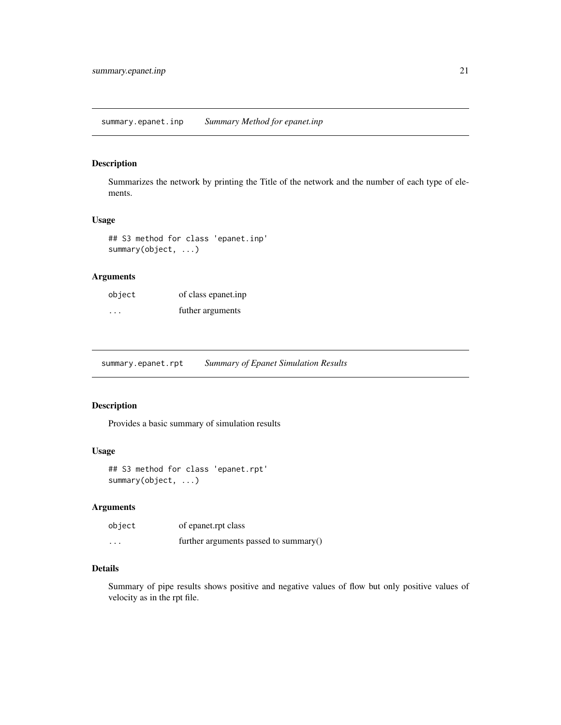# <span id="page-20-0"></span>Description

Summarizes the network by printing the Title of the network and the number of each type of elements.

#### Usage

## S3 method for class 'epanet.inp' summary(object, ...)

# Arguments

| object  | of class epanet.inp |
|---------|---------------------|
| $\cdot$ | futher arguments    |

summary.epanet.rpt *Summary of Epanet Simulation Results*

#### Description

Provides a basic summary of simulation results

# Usage

```
## S3 method for class 'epanet.rpt'
summary(object, ...)
```
#### Arguments

| object            | of epanet.rpt class                   |
|-------------------|---------------------------------------|
| $\cdot\cdot\cdot$ | further arguments passed to summary() |

#### Details

Summary of pipe results shows positive and negative values of flow but only positive values of velocity as in the rpt file.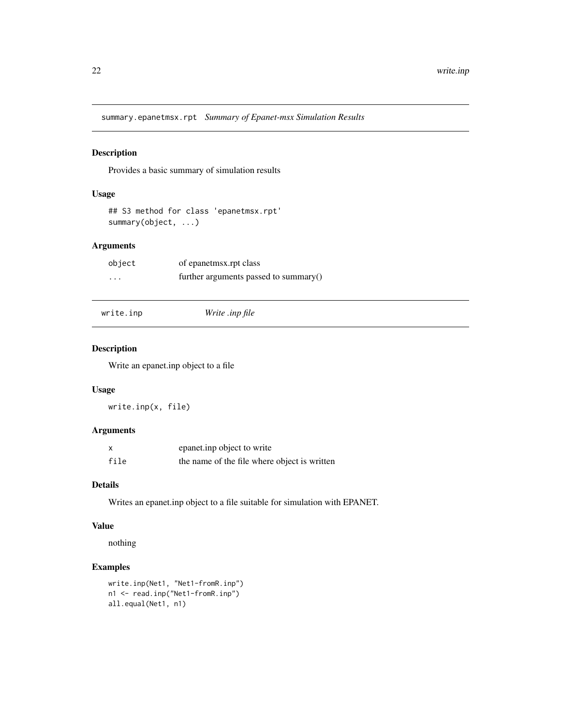<span id="page-21-0"></span>summary.epanetmsx.rpt *Summary of Epanet-msx Simulation Results*

#### Description

Provides a basic summary of simulation results

# Usage

```
## S3 method for class 'epanetmsx.rpt'
summary(object, ...)
```
# Arguments

| object                  | of epanetmsx.rpt class                |
|-------------------------|---------------------------------------|
| $\cdot$ $\cdot$ $\cdot$ | further arguments passed to summary() |

|  | write.inp |  |  |
|--|-----------|--|--|
|  |           |  |  |
|  |           |  |  |

```
write.inp Write .inp file
```
# Description

Write an epanet.inp object to a file

# Usage

write.inp(x, file)

# Arguments

| $\boldsymbol{\mathsf{x}}$ | epanet.inp object to write                   |
|---------------------------|----------------------------------------------|
| file                      | the name of the file where object is written |

#### Details

Writes an epanet.inp object to a file suitable for simulation with EPANET.

# Value

nothing

# Examples

```
write.inp(Net1, "Net1-fromR.inp")
n1 <- read.inp("Net1-fromR.inp")
all.equal(Net1, n1)
```